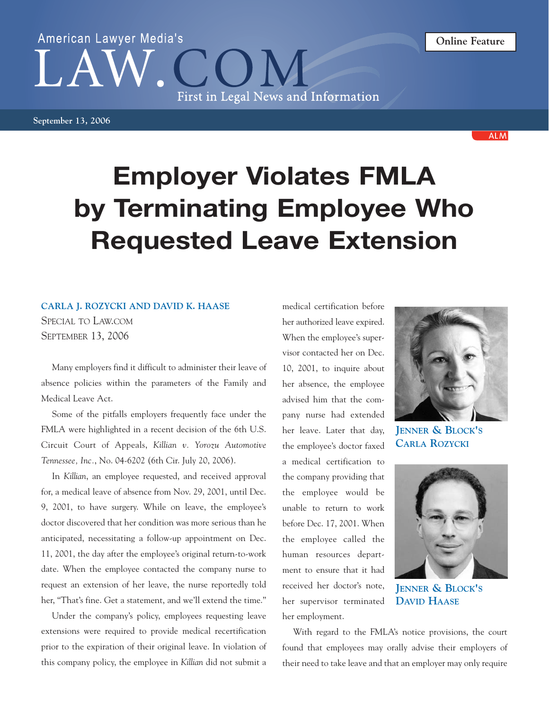## First in Legal News and Information

American Lawyer Media's

**September 13, 2006**

## **Employer Violates FMLA by Terminating Employee Who Requested Leave Extension**

## **CARLA J. ROZYCKI AND DAVID K. HAASE**

SPECIAL TO LAW.COM SEPTEMBER 13, 2006

Many employers find it difficult to administer their leave of absence policies within the parameters of the Family and Medical Leave Act.

Some of the pitfalls employers frequently face under the FMLA were highlighted in a recent decision of the 6th U.S. Circuit Court of Appeals, *Killian v. Yorozu Automotive Tennessee, Inc.*, No. 04-6202 (6th Cir. July 20, 2006).

In *Killian*, an employee requested, and received approval for, a medical leave of absence from Nov. 29, 2001, until Dec. 9, 2001, to have surgery. While on leave, the employee's doctor discovered that her condition was more serious than he anticipated, necessitating a follow-up appointment on Dec. 11, 2001, the day after the employee's original return-to-work date. When the employee contacted the company nurse to request an extension of her leave, the nurse reportedly told her, "That's fine. Get a statement, and we'll extend the time."

Under the company's policy, employees requesting leave extensions were required to provide medical recertification prior to the expiration of their original leave. In violation of this company policy, the employee in *Killian* did not submit a

medical certification before her authorized leave expired. When the employee's supervisor contacted her on Dec. 10, 2001, to inquire about her absence, the employee advised him that the company nurse had extended her leave. Later that day, the employee's doctor faxed a medical certification to the company providing that the employee would be unable to return to work before Dec. 17, 2001. When the employee called the human resources department to ensure that it had received her doctor's note, her supervisor terminated her employment.

**JENNER & BLOCK'S**

**CARLA ROZYCKI**

**JENNER & BLOCK'S DAVID HAASE**

With regard to the FMLA's notice provisions, the court found that employees may orally advise their employers of their need to take leave and that an employer may only require





**ALM**